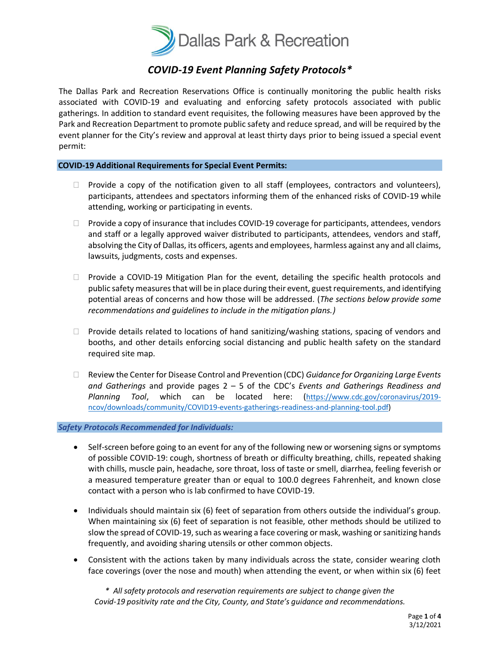

## *COVID-19 Event Planning Safety Protocols\**

The Dallas Park and Recreation Reservations Office is continually monitoring the public health risks associated with COVID-19 and evaluating and enforcing safety protocols associated with public gatherings. In addition to standard event requisites, the following measures have been approved by the Park and Recreation Department to promote public safety and reduce spread, and will be required by the event planner for the City's review and approval at least thirty days prior to being issued a special event permit:

#### **COVID-19 Additional Requirements for Special Event Permits:**

- $\Box$  Provide a copy of the notification given to all staff (employees, contractors and volunteers), participants, attendees and spectators informing them of the enhanced risks of COVID-19 while attending, working or participating in events.
- $\Box$  Provide a copy of insurance that includes COVID-19 coverage for participants, attendees, vendors and staff or a legally approved waiver distributed to participants, attendees, vendors and staff, absolving the City of Dallas, its officers, agents and employees, harmless against any and all claims, lawsuits, judgments, costs and expenses.
- $\Box$  Provide a COVID-19 Mitigation Plan for the event, detailing the specific health protocols and public safety measures that will be in place during their event, guest requirements, and identifying potential areas of concerns and how those will be addressed. (*The sections below provide some recommendations and guidelines to include in the mitigation plans.)*
- $\Box$  Provide details related to locations of hand sanitizing/washing stations, spacing of vendors and booths, and other details enforcing social distancing and public health safety on the standard required site map.
- Review the Center for Disease Control and Prevention (CDC) *Guidance for Organizing Large Events and Gatherings* and provide pages 2 – 5 of the CDC's *Events and Gatherings Readiness and Planning Tool*, which can be located here: ([https://www.cdc.gov/coronavirus/2019](https://www.cdc.gov/coronavirus/2019-ncov/downloads/community/COVID19-events-gatherings-readiness-and-planning-tool.pdf) [ncov/downloads/community/COVID19-events-gatherings-readiness-and-planning-tool.pdf\)](https://www.cdc.gov/coronavirus/2019-ncov/downloads/community/COVID19-events-gatherings-readiness-and-planning-tool.pdf)

### *Safety Protocols Recommended for Individuals:*

- Self-screen before going to an event for any of the following new or worsening signs or symptoms of possible COVID-19: cough, shortness of breath or difficulty breathing, chills, repeated shaking with chills, muscle pain, headache, sore throat, loss of taste or smell, diarrhea, feeling feverish or a measured temperature greater than or equal to 100.0 degrees Fahrenheit, and known close contact with a person who is lab confirmed to have COVID-19.
- Individuals should maintain six (6) feet of separation from others outside the individual's group. When maintaining six (6) feet of separation is not feasible, other methods should be utilized to slow the spread of COVID-19, such as wearing a face covering or mask, washing or sanitizing hands frequently, and avoiding sharing utensils or other common objects.
- Consistent with the actions taken by many individuals across the state, consider wearing cloth face coverings (over the nose and mouth) when attending the event, or when within six (6) feet

*\* All safety protocols and reservation requirements are subject to change given the Covid-19 positivity rate and the City, County, and State's guidance and recommendations.*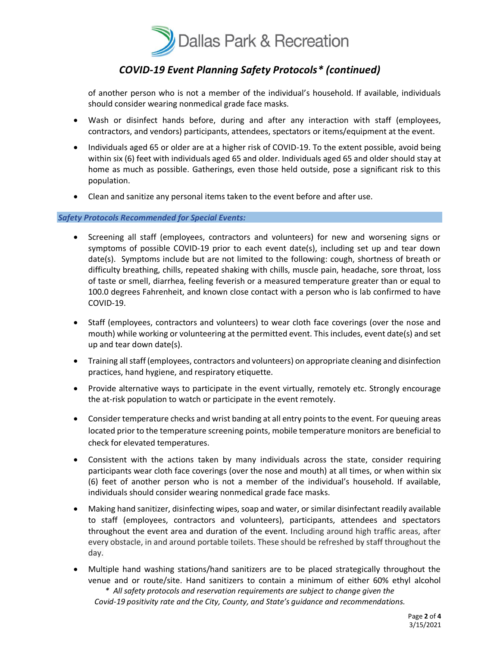

## *COVID-19 Event Planning Safety Protocols\* (continued)*

of another person who is not a member of the individual's household. If available, individuals should consider wearing nonmedical grade face masks.

- Wash or disinfect hands before, during and after any interaction with staff (employees, contractors, and vendors) participants, attendees, spectators or items/equipment at the event.
- Individuals aged 65 or older are at a higher risk of COVID-19. To the extent possible, avoid being within six (6) feet with individuals aged 65 and older. Individuals aged 65 and older should stay at home as much as possible. Gatherings, even those held outside, pose a significant risk to this population.
- Clean and sanitize any personal items taken to the event before and after use.

#### *Safety Protocols Recommended for Special Events:*

- Screening all staff (employees, contractors and volunteers) for new and worsening signs or symptoms of possible COVID-19 prior to each event date(s), including set up and tear down date(s). Symptoms include but are not limited to the following: cough, shortness of breath or difficulty breathing, chills, repeated shaking with chills, muscle pain, headache, sore throat, loss of taste or smell, diarrhea, feeling feverish or a measured temperature greater than or equal to 100.0 degrees Fahrenheit, and known close contact with a person who is lab confirmed to have COVID-19.
- Staff (employees, contractors and volunteers) to wear cloth face coverings (over the nose and mouth) while working or volunteering at the permitted event. This includes, event date(s) and set up and tear down date(s).
- Training all staff (employees, contractors and volunteers) on appropriate cleaning and disinfection practices, hand hygiene, and respiratory etiquette.
- Provide alternative ways to participate in the event virtually, remotely etc. Strongly encourage the at-risk population to watch or participate in the event remotely.
- Consider temperature checks and wrist banding at all entry points to the event. For queuing areas located prior to the temperature screening points, mobile temperature monitors are beneficial to check for elevated temperatures.
- Consistent with the actions taken by many individuals across the state, consider requiring participants wear cloth face coverings (over the nose and mouth) at all times, or when within six (6) feet of another person who is not a member of the individual's household. If available, individuals should consider wearing nonmedical grade face masks.
- Making hand sanitizer, disinfecting wipes, soap and water, or similar disinfectant readily available to staff (employees, contractors and volunteers), participants, attendees and spectators throughout the event area and duration of the event. Including around high traffic areas, after every obstacle, in and around portable toilets. These should be refreshed by staff throughout the day.
- *\* All safety protocols and reservation requirements are subject to change given the Covid-19 positivity rate and the City, County, and State's guidance and recommendations.* • Multiple hand washing stations/hand sanitizers are to be placed strategically throughout the venue and or route/site. Hand sanitizers to contain a minimum of either 60% ethyl alcohol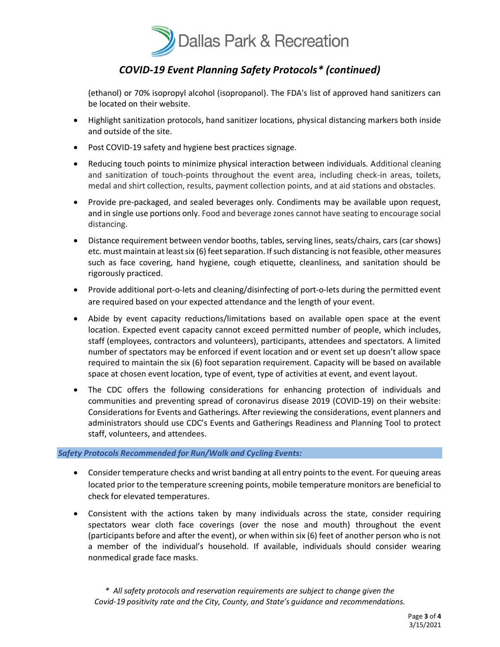

# *COVID-19 Event Planning Safety Protocols\* (continued)*

(ethanol) or 70% isopropyl alcohol (isopropanol). The FDA's list of approved hand sanitizers can be located on their website.

- Highlight sanitization protocols, hand sanitizer locations, physical distancing markers both inside and outside of the site.
- Post COVID-19 safety and hygiene best practices signage.
- Reducing touch points to minimize physical interaction between individuals. Additional cleaning and sanitization of touch-points throughout the event area, including check-in areas, toilets, medal and shirt collection, results, payment collection points, and at aid stations and obstacles.
- Provide pre-packaged, and sealed beverages only. Condiments may be available upon request, and in single use portions only. Food and beverage zones cannot have seating to encourage social distancing.
- Distance requirement between vendor booths, tables, serving lines, seats/chairs, cars (car shows) etc. must maintain at least six (6) feet separation. If such distancing is not feasible, other measures such as face covering, hand hygiene, cough etiquette, cleanliness, and sanitation should be rigorously practiced.
- Provide additional port-o-lets and cleaning/disinfecting of port-o-lets during the permitted event are required based on your expected attendance and the length of your event.
- Abide by event capacity reductions/limitations based on available open space at the event location. Expected event capacity cannot exceed permitted number of people, which includes, staff (employees, contractors and volunteers), participants, attendees and spectators. A limited number of spectators may be enforced if event location and or event set up doesn't allow space required to maintain the six (6) foot separation requirement. Capacity will be based on available space at chosen event location, type of event, type of activities at event, and event layout.
- The CDC offers the following considerations for enhancing protection of individuals and communities and preventing spread of coronavirus disease 2019 (COVID-19) on their website: Considerations for Events and Gatherings. After reviewing the considerations, event planners and administrators should use CDC's Events and Gatherings Readiness and Planning Tool to protect staff, volunteers, and attendees.

#### *Safety Protocols Recommended for Run/Walk and Cycling Events:*

- Consider temperature checks and wrist banding at all entry points to the event. For queuing areas located prior to the temperature screening points, mobile temperature monitors are beneficial to check for elevated temperatures.
- Consistent with the actions taken by many individuals across the state, consider requiring spectators wear cloth face coverings (over the nose and mouth) throughout the event (participants before and after the event), or when within six (6) feet of another person who is not a member of the individual's household. If available, individuals should consider wearing nonmedical grade face masks.

*\* All safety protocols and reservation requirements are subject to change given the Covid-19 positivity rate and the City, County, and State's guidance and recommendations.*